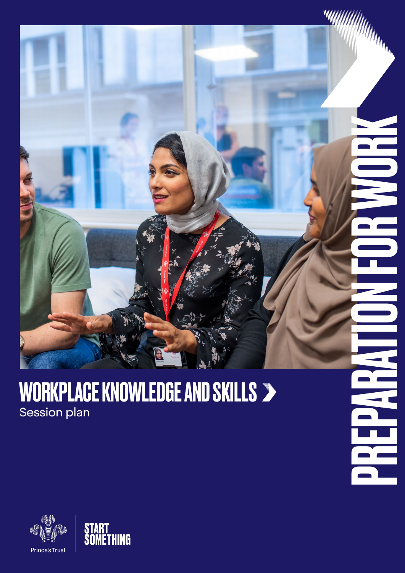

i.

 $\overline{\phantom{a}}$ 

### WORKPLACE KNOWLEDGE AND SKILLS Session plan



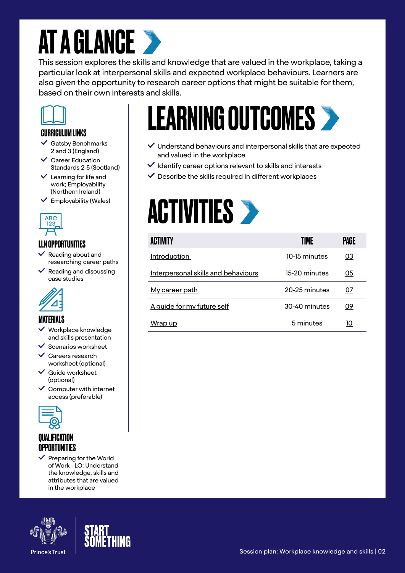# **AT A GLANCE >**

This session explores the skills and knowledge that are valued in the workplace, taking a particular look at interpersonal skills and expected workplace behaviours. Learners are also given the opportunity to research career options that might be suitable for them, based on their own interests and skills.



#### CURRICULUM LINKS

- $\checkmark$  Gatsby Benchmarks 2 and 3 (England)
- Career Education Standards 2-5 (Scotland)
- $\vee$  Learning for life and work; Employability (Northern Ireland)
- $\checkmark$  Employability (Wales)



### LLN OPPORTUNITIES

- Reading about and researching career paths
- $\checkmark$  Reading and discussing case studies



### MATFRIAI S

- Workplace knowledge and skills presentation
- $\checkmark$  Scenarios worksheet
- Careers research worksheet (optional)
- $\vee$  Guide worksheet (optional)
- $\checkmark$  Computer with internet access (preferable)



### **OUAL IFICATION** OPPORTUNITIES

 $\vee$  Preparing for the World of Work - LO: Understand the knowledge, skills and attributes that are valued in the workplace



# LEARNING OUTCOMES

- $\vee$  Understand behaviours and interpersonal skills that are expected and valued in the workplace
- $\vee$  Identify career options relevant to skills and interests
- $\checkmark$  Describe the skills required in different workplaces

# **ACTIVITIES >**

| <b>ACTIVITY</b>                     | TIME          | PAGE |
|-------------------------------------|---------------|------|
| Introduction                        | 10-15 minutes | 03   |
| Interpersonal skills and behaviours | 15-20 minutes | 05   |
| My career path                      | 20-25 minutes | 07   |
| A guide for my future self          | 30-40 minutes | 09   |
| Wrap up                             | 5 minutes     | 10   |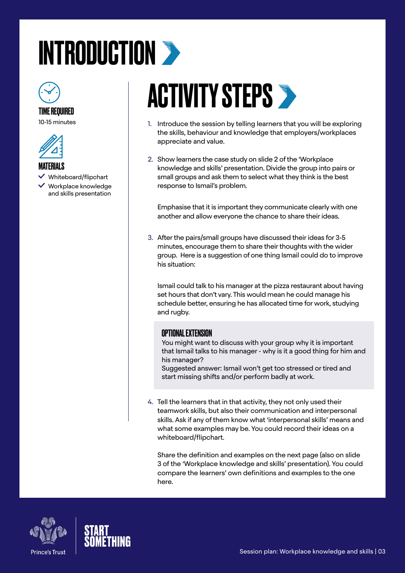# <span id="page-2-0"></span>INTRODUCTION >



### TIME REQUIRED

10-15 minutes



#### **MATERIALS**

 $\checkmark$  Whiteboard/flipchart

 $\vee$  Workplace knowledge and skills presentation

# **ACTIVITY STEPS >**

- 1. Introduce the session by telling learners that you will be exploring the skills, behaviour and knowledge that employers/workplaces appreciate and value.
- 2. Show learners the case study on slide 2 of the 'Workplace knowledge and skills' presentation. Divide the group into pairs or small groups and ask them to select what they think is the best response to Ismail's problem.

Emphasise that it is important they communicate clearly with one another and allow everyone the chance to share their ideas.

3. After the pairs/small groups have discussed their ideas for 3-5 minutes, encourage them to share their thoughts with the wider group. Here is a suggestion of one thing Ismail could do to improve his situation:

Ismail could talk to his manager at the pizza restaurant about having set hours that don't vary. This would mean he could manage his schedule better, ensuring he has allocated time for work, studying and rugby.

#### OPTIONAL EXTENSION

You might want to discuss with your group why it is important that Ismail talks to his manager - why is it a good thing for him and his manager?

Suggested answer: Ismail won't get too stressed or tired and start missing shifts and/or perform badly at work.

4. Tell the learners that in that activity, they not only used their teamwork skills, but also their communication and interpersonal skills. Ask if any of them know what 'interpersonal skills' means and what some examples may be. You could record their ideas on a whiteboard/flipchart.

Share the definition and examples on the next page (also on slide 3 of the 'Workplace knowledge and skills' presentation). You could compare the learners' own definitions and examples to the one here.



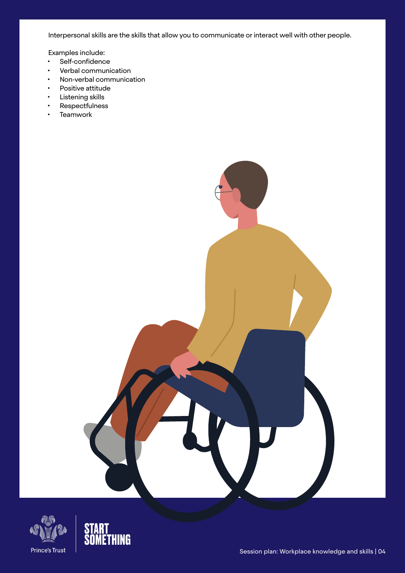Interpersonal skills are the skills that allow you to communicate or interact well with other people.

Examples include:

- Self-confidence
- Verbal communication
- Non-verbal communication
- Positive attitude
- Listening skills
- Respectfulness
- Teamwork



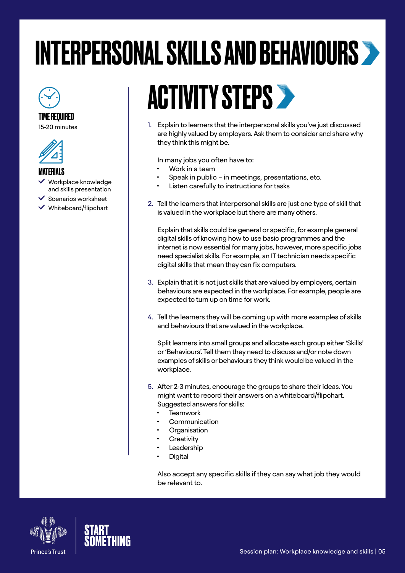# <span id="page-4-0"></span>INTERPERSONAL SKILLS AND BEHAVIOURS

### TIME REQUIRED

15-20 minutes



### **MATFRIALS**

- Workplace knowledge and skills presentation
- $\checkmark$  Scenarios worksheet
- Whiteboard/flipchart

# **ACTIVITY STEPS >**

1. Explain to learners that the interpersonal skills you've just discussed are highly valued by employers. Ask them to consider and share why they think this might be.

In many jobs you often have to:

- Work in a team
- Speak in public in meetings, presentations, etc.
- Listen carefully to instructions for tasks
- 2. Tell the learners that interpersonal skills are just one type of skill that is valued in the workplace but there are many others.

Explain that skills could be general or specific, for example general digital skills of knowing how to use basic programmes and the internet is now essential for many jobs, however, more specific jobs need specialist skills. For example, an IT technician needs specific digital skills that mean they can fix computers.

- 3. Explain that it is not just skills that are valued by employers, certain behaviours are expected in the workplace. For example, people are expected to turn up on time for work.
- 4. Tell the learners they will be coming up with more examples of skills and behaviours that are valued in the workplace.

Split learners into small groups and allocate each group either 'Skills' or 'Behaviours'. Tell them they need to discuss and/or note down examples of skills or behaviours they think would be valued in the workplace.

- 5. After 2-3 minutes, encourage the groups to share their ideas. You might want to record their answers on a whiteboard/flipchart. Suggested answers for skills:
	- **Teamwork**
	- **Communication**
	- **Organisation**
	- **Creativity**
	- **Leadership**
	- **Digital**

Also accept any specific skills if they can say what job they would be relevant to.



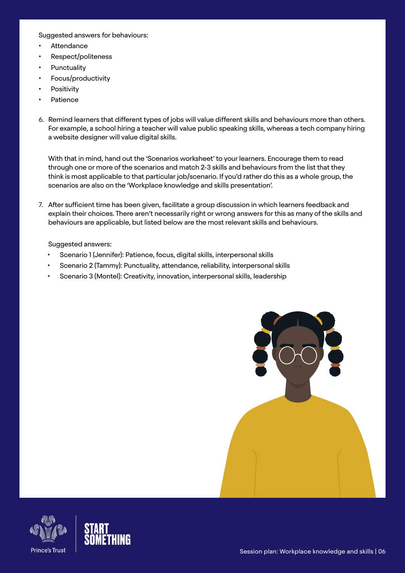#### Suggested answers for behaviours:

- **Attendance**
- Respect/politeness
- **Punctuality**
- Focus/productivity
- **Positivity**
- Patience
- 6. Remind learners that different types of jobs will value different skills and behaviours more than others. For example, a school hiring a teacher will value public speaking skills, whereas a tech company hiring a website designer will value digital skills.

With that in mind, hand out the 'Scenarios worksheet' to your learners. Encourage them to read through one or more of the scenarios and match 2-3 skills and behaviours from the list that they think is most applicable to that particular job/scenario. If you'd rather do this as a whole group, the scenarios are also on the 'Workplace knowledge and skills presentation'.

7. After sufficient time has been given, facilitate a group discussion in which learners feedback and explain their choices. There aren't necessarily right or wrong answers for this as many of the skills and behaviours are applicable, but listed below are the most relevant skills and behaviours.

#### Suggested answers:

- Scenario 1 (Jennifer): Patience, focus, digital skills, interpersonal skills
- Scenario 2 (Tammy): Punctuality, attendance, reliability, interpersonal skills
- Scenario 3 (Montel): Creativity, innovation, interpersonal skills, leadership





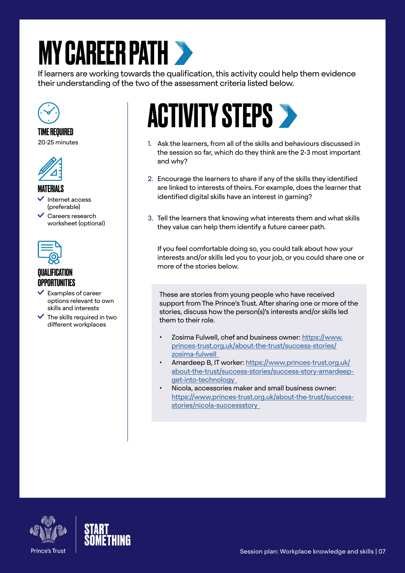# <span id="page-6-0"></span>**MY CAREER PATH >**

If learners are working towards the qualification, this activity could help them evidence their understanding of the two of the assessment criteria listed below.



### TIME REQUIRED

20-25 minutes



#### MATFRIAI S

- Internet access (preferable)
- $\checkmark$  Careers research worksheet (optional)



### QUALIFICATION **OPPORTUNITIES**

- $\checkmark$  Examples of career options relevant to own skills and interests
- $\checkmark$  The skills required in two different workplaces

# **ACTIVITY STEPS >**

- 1. Ask the learners, from all of the skills and behaviours discussed in the session so far, which do they think are the 2-3 most important and why?
- 2. Encourage the learners to share if any of the skills they identified are linked to interests of theirs. For example, does the learner that identified digital skills have an interest in gaming?
- 3. Tell the learners that knowing what interests them and what skills they value can help them identify a future career path.

If you feel comfortable doing so, you could talk about how your interests and/or skills led you to your job, or you could share one or more of the stories below.

These are stories from young people who have received support from The Prince's Trust. After sharing one or more of the stories, discuss how the person(s)'s interests and/or skills led them to their role.

- Zosima Fulwell, chef and business owner: [https://www.](https://www.princes-trust.org.uk/about-the-trust/success-stories/zosima-fulwell  ) [princes-trust.org.uk/about-the-trust/success-stories/](https://www.princes-trust.org.uk/about-the-trust/success-stories/zosima-fulwell  ) [zosima-fulwell](https://www.princes-trust.org.uk/about-the-trust/success-stories/zosima-fulwell  )
- Amardeep B, IT worker: [https://www.princes-trust.org.uk/](https://www.princes-trust.org.uk/about-the-trust/success-stories/success-story-amardeep-get-into-technology  ) [about-the-trust/success-stories/success-story-amardeep](https://www.princes-trust.org.uk/about-the-trust/success-stories/success-story-amardeep-get-into-technology  )[get-into-technology](https://www.princes-trust.org.uk/about-the-trust/success-stories/success-story-amardeep-get-into-technology  )
- Nicola, accessories maker and small business owner: [https://www.princes-trust.org.uk/about-the-trust/success](https://www.princes-trust.org.uk/about-the-trust/success-stories/nicola-successstory  )[stories/nicola-successstory](https://www.princes-trust.org.uk/about-the-trust/success-stories/nicola-successstory  )



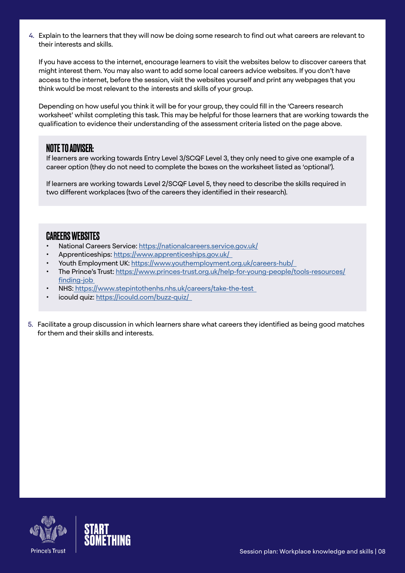4. Explain to the learners that they will now be doing some research to find out what careers are relevant to their interests and skills.

If you have access to the internet, encourage learners to visit the websites below to discover careers that might interest them. You may also want to add some local careers advice websites. If you don't have access to the internet, before the session, visit the websites yourself and print any webpages that you think would be most relevant to the interests and skills of your group.

Depending on how useful you think it will be for your group, they could fill in the 'Careers research worksheet' whilst completing this task. This may be helpful for those learners that are working towards the qualification to evidence their understanding of the assessment criteria listed on the page above.

### NOTE TO ADVISER:

If learners are working towards Entry Level 3/SCQF Level 3, they only need to give one example of a career option (they do not need to complete the boxes on the worksheet listed as 'optional').

If learners are working towards Level 2/SCQF Level 5, they need to describe the skills required in two different workplaces (two of the careers they identified in their research).

### CAREERS WEBSITES

- National Careers Service:<https://nationalcareers.service.gov.uk/>
- Apprenticeships: [https://www.apprenticeships.gov.uk/](https://www.apprenticeships.gov.uk/  )
- Youth Employment UK: [https://www.youthemployment.org.uk/careers-hub/](https://www.youthemployment.org.uk/careers-hub/  )
- The Prince's Trust: [https://www.princes-trust.org.uk/help-for-young-people/tools-resources/](https://www.princes-trust.org.uk/help-for-young-people/tools-resources/finding-job ) finding-job
- NHS[: https://www.stepintothenhs.nhs.uk/careers/take-the-test]( https://www.stepintothenhs.nhs.uk/careers/take-the-test  )
- icould quiz: [https://icould.com/buzz-quiz/](https://icould.com/buzz-quiz/  )
- 5. Facilitate a group discussion in which learners share what careers they identified as being good matches for them and their skills and interests.



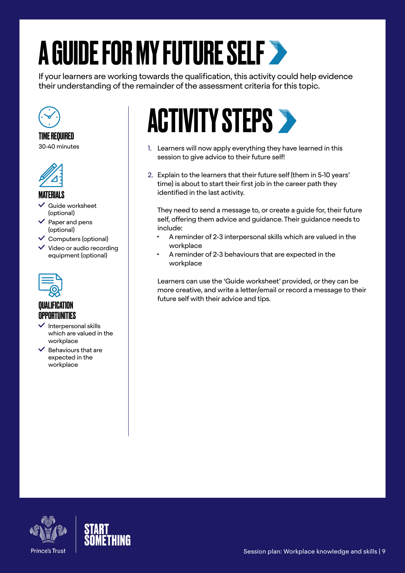# A GUIDE FOR MY FUTURE SELF

If your learners are working towards the qualification, this activity could help evidence their understanding of the remainder of the assessment criteria for this topic.



#### TIME REQUIRED 30-40 minutes



### MATERIALS

 Guide worksheet (optional)

- Paper and pens (optional)
- $\checkmark$  Computers (optional)
- $\checkmark$  Video or audio recording equipment (optional)



### **QUALIFICATION OPPORTUNITIES**

- $\vee$  Interpersonal skills which are valued in the workplace
- $\vee$  Behaviours that are expected in the workplace

# **ACTIVITY STEPS >**

- 1. Learners will now apply everything they have learned in this session to give advice to their future self!
- 2. Explain to the learners that their future self (them in 5-10 years' time) is about to start their first job in the career path they identified in the last activity.

They need to send a message to, or create a guide for, their future self, offering them advice and guidance. Their guidance needs to include:

- A reminder of 2-3 interpersonal skills which are valued in the workplace
- A reminder of 2-3 behaviours that are expected in the workplace

Learners can use the 'Guide worksheet' provided, or they can be more creative, and write a letter/email or record a message to their future self with their advice and tips.